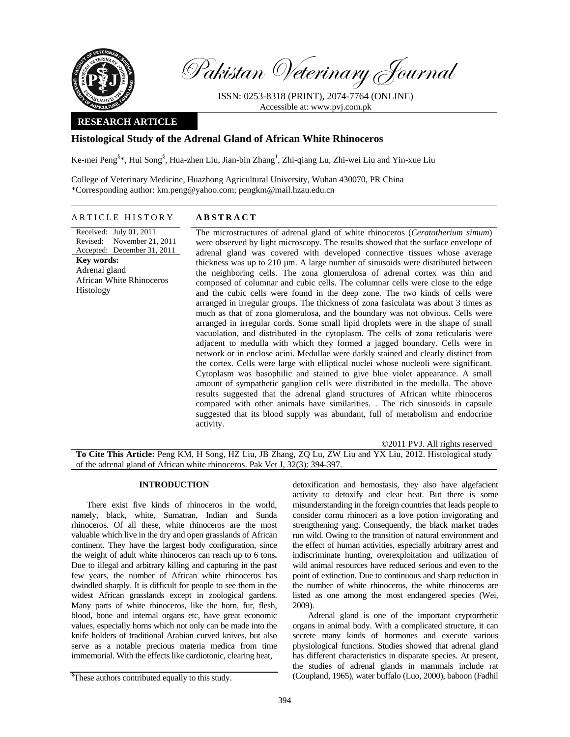

Pakistan Veterinary Journal

ISSN: 0253-8318 (PRINT), 2074-7764 (ONLINE) Accessible at: www.pvj.com.pk

## **RESEARCH ARTICLE**

# **Histological Study of the Adrenal Gland of African White Rhinoceros**

Ke-mei Peng<sup>§</sup>\*, Hui Song<sup>§</sup>, Hua-zhen Liu, Jian-bin Zhang<sup>1</sup>, Zhi-qiang Lu, Zhi-wei Liu and Yin-xue Liu

College of Veterinary Medicine, Huazhong Agricultural University, Wuhan 430070, PR China \*Corresponding author: km.peng@yahoo.com; pengkm@mail.hzau.edu.cn

## ARTICLE HISTORY **ABSTRACT**

Received: July 01, 2011 Revised: Accepted: December 31, 2011 November 21, 2011 **Key words:**  Adrenal gland African White Rhinoceros

Histology

adrenal gland was covered with developed connective tissues whose average thickness was up to 210 µm. A large number of sinusoids were distributed between the neighboring cells. The zona glomerulosa of adrenal cortex was thin and composed of columnar and cubic cells. The columnar cells were close to the edge and the cubic cells were found in the deep zone. The two kinds of cells were arranged in irregular groups. The thickness of zona fasiculata was about 3 times as much as that of zona glomerulosa, and the boundary was not obvious. Cells were arranged in irregular cords. Some small lipid droplets were in the shape of small vacuolation, and distributed in the cytoplasm. The cells of zona reticularis were adjacent to medulla with which they formed a jagged boundary. Cells were in network or in enclose acini. Medullae were darkly stained and clearly distinct from the cortex. Cells were large with elliptical nuclei whose nucleoli were significant. Cytoplasm was basophilic and stained to give blue violet appearance. A small amount of sympathetic ganglion cells were distributed in the medulla. The above results suggested that the adrenal gland structures of African white rhinoceros compared with other animals have similarities. . The rich sinusoids in capsule suggested that its blood supply was abundant, full of metabolism and endocrine

The microstructures of adrenal gland of white rhinoceros (*Ceratotherium simum*) were observed by light microscopy. The results showed that the surface envelope of

©2011 PVJ. All rights reserved

**To Cite This Article:** Peng KM, H Song, HZ Liu, JB Zhang, ZQ Lu, ZW Liu and YX Liu, 2012. Histological study of the adrenal gland of African white rhinoceros. Pak Vet J, 32(3): 394-397.

#### **INTRODUCTION**

activity.

There exist five kinds of rhinoceros in the world, namely, black, white, Sumatran, Indian and Sunda rhinoceros. Of all these, white rhinoceros are the most valuable which live in the dry and open grasslands of African continent. They have the largest body configuration, since the weight of adult white rhinoceros can reach up to 6 tons**.** Due to illegal and arbitrary killing and capturing in the past few years, the number of African white rhinoceros has dwindled sharply. It is difficult for people to see them in the widest African grasslands except in zoological gardens. Many parts of white rhinoceros, like the horn, fur, flesh, blood, bone and internal organs etc, have great economic values, especially horns which not only can be made into the knife holders of traditional Arabian curved knives, but also serve as a notable precious materia medica from time immemorial. With the effects like cardiotonic, clearing heat,

detoxification and hemostasis, they also have algefacient activity to detoxify and clear heat. But there is some misunderstanding in the foreign countries that leads people to consider cornu rhinoceri as a love potion invigorating and strengthening yang. Consequently, the black market trades run wild. Owing to the transition of natural environment and the effect of human activities, especially arbitrary arrest and indiscriminate hunting, overexploitation and utilization of wild animal resources have reduced serious and even to the point of extinction. Due to continuous and sharp reduction in the number of white rhinoceros, the white rhinoceros are listed as one among the most endangered species (Wei, 2009).

Adrenal gland is one of the important cryptorrhetic organs in animal body. With a complicated structure, it can secrete many kinds of hormones and execute various physiological functions. Studies showed that adrenal gland has different characteristics in disparate species. At present, the studies of adrenal glands in mammals include rat (Coupland, 1965), water buffalo (Luo, 2000), baboon (Fadhil

**<sup>§</sup>** These authors contributed equally to this study.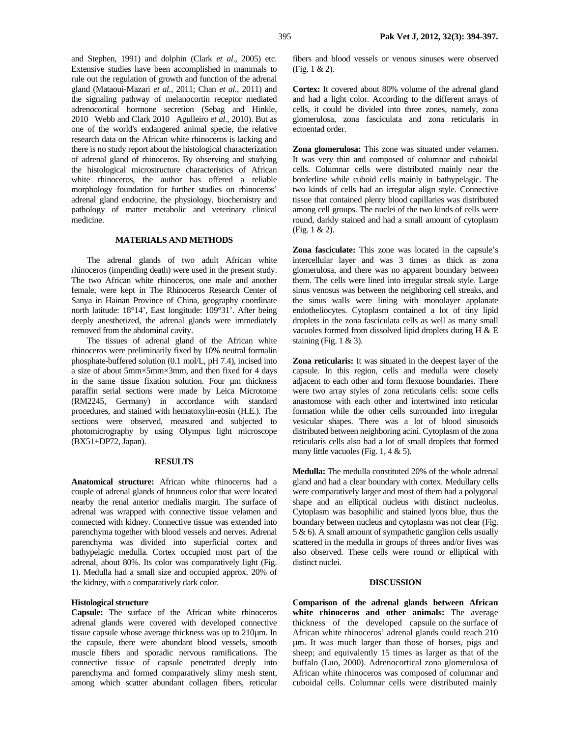and Stephen, 1991) and dolphin (Clark *et al*., 2005) etc. Extensive studies have been accomplished in mammals to rule out the regulation of growth and function of the adrenal gland (Mataoui-Mazari *et al.,* 2011; Chan *et al.,* 2011) and the signaling pathway of melanocortin receptor mediated adrenocortical hormone secretion (Sebag and Hinkle, 2010 Webb and Clark 2010 Agulleiro et al., 2010). But as one of the world's endangered animal specie, the relative research data on the African white rhinoceros is lacking and there is no study report about the histological characterization of adrenal gland of rhinoceros. By observing and studying the histological microstructure characteristics of African white rhinoceros, the author has offered a reliable morphology foundation for further studies on rhinoceros' adrenal gland endocrine, the physiology, biochemistry and pathology of matter metabolic and veterinary clinical medicine.

## **MATERIALS AND METHODS**

The adrenal glands of two adult African white rhinoceros (impending death) were used in the present study. The two African white rhinoceros, one male and another female, were kept in The Rhinoceros Research Center of Sanya in Hainan Province of China, geography coordinate north latitude: 18°14', East longitude: 109°31'. After being deeply anesthetized, the adrenal glands were immediately removed from the abdominal cavity.

The tissues of adrenal gland of the African white rhinoceros were preliminarily fixed by 10% neutral formalin phosphate-buffered solution (0.1 mol/L, pH 7.4), incised into a size of about 5mm×5mm×3mm, and then fixed for 4 days in the same tissue fixation solution. Four um thickness paraffin serial sections were made by Leica Microtome (RM2245, Germany) in accordance with standard procedures, and stained with hematoxylin-eosin (H.E.). The sections were observed, measured and subjected to photomicrography by using Olympus light microscope (BX51+DP72, Japan).

#### **RESULTS**

**Anatomical structure:** African white rhinoceros had a couple of adrenal glands of brunneus color that were located nearby the renal anterior medialis margin. The surface of adrenal was wrapped with connective tissue velamen and connected with kidney. Connective tissue was extended into parenchyma together with blood vessels and nerves. Adrenal parenchyma was divided into superficial cortex and bathypelagic medulla. Cortex occupied most part of the adrenal, about 80%. Its color was comparatively light (Fig. 1). Medulla had a small size and occupied approx. 20% of the kidney, with a comparatively dark color.

#### **Histological structure**

**Capsule:** The surface of the African white rhinoceros adrenal glands were covered with developed connective tissue capsule whose average thickness was up to 210µm. In the capsule, there were abundant blood vessels, smooth muscle fibers and sporadic nervous ramifications. The connective tissue of capsule penetrated deeply into parenchyma and formed comparatively slimy mesh stent, among which scatter abundant collagen fibers, reticular fibers and blood vessels or venous sinuses were observed (Fig. 1 & 2).

**Cortex:** It covered about 80% volume of the adrenal gland and had a light color. According to the different arrays of cells, it could be divided into three zones, namely, zona glomerulosa, zona fasciculata and zona reticularis in ectoentad order.

**Zona glomerulosa:** This zone was situated under velamen. It was very thin and composed of columnar and cuboidal cells. Columnar cells were distributed mainly near the borderline while cuboid cells mainly in bathypelagic. The two kinds of cells had an irregular align style. Connective tissue that contained plenty blood capillaries was distributed among cell groups. The nuclei of the two kinds of cells were round, darkly stained and had a small amount of cytoplasm (Fig. 1 & 2).

**Zona fasciculate:** This zone was located in the capsule's intercellular layer and was 3 times as thick as zona glomerulosa, and there was no apparent boundary between them. The cells were lined into irregular streak style. Large sinus venosus was between the neighboring cell streaks, and the sinus walls were lining with monolayer applanate endotheliocytes. Cytoplasm contained a lot of tiny lipid droplets in the zona fasciculata cells as well as many small vacuoles formed from dissolved lipid droplets during H & E staining (Fig.  $1 & 3$ ).

**Zona reticularis:** It was situated in the deepest layer of the capsule. In this region, cells and medulla were closely adjacent to each other and form flexuose boundaries. There were two array styles of zona reticularis cells: some cells anastomose with each other and intertwined into reticular formation while the other cells surrounded into irregular vesicular shapes. There was a lot of blood sinusoids distributed between neighboring acini. Cytoplasm of the zona reticularis cells also had a lot of small droplets that formed many little vacuoles (Fig. 1,  $4 \& 5$ ).

**Medulla:** The medulla constituted 20% of the whole adrenal gland and had a clear boundary with cortex. Medullary cells were comparatively larger and most of them had a polygonal shape and an elliptical nucleus with distinct nucleolus. Cytoplasm was basophilic and stained lyons blue, thus the boundary between nucleus and cytoplasm was not clear (Fig. 5 & 6). A small amount of sympathetic ganglion cells usually scattered in the medulla in groups of threes and/or fives was also observed. These cells were round or elliptical with distinct nuclei.

### **DISCUSSION**

**Comparison of the adrenal glands between African white rhinoceros and other animals:** The average thickness of the developed capsule on the surface of African white rhinoceros' adrenal glands could reach 210 µm. It was much larger than those of horses, pigs and sheep; and equivalently 15 times as larger as that of the buffalo (Luo, 2000). Adrenocortical zona glomerulosa of African white rhinoceros was composed of columnar and cuboidal cells. Columnar cells were distributed mainly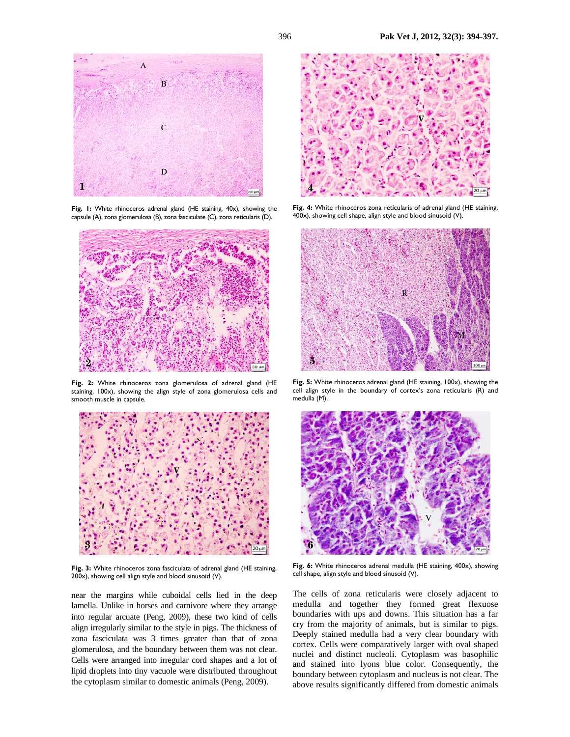

Fig. 1: White rhinoceros adrenal gland (HE staining, 40x), showing the capsule (A), zona glomerulosa (B), zona fasciculate (C), zona reticularis (D).



**Fig. 2:** White rhinoceros zona glomerulosa of adrenal gland (HE staining, 100x), showing the align style of zona glomerulosa cells and smooth muscle in capsule.



**Fig. 3:** White rhinoceros zona fasciculata of adrenal gland (HE staining, 200x), showing cell align style and blood sinusoid (V).

near the margins while cuboidal cells lied in the deep lamella. Unlike in horses and carnivore where they arrange into regular arcuate (Peng, 2009), these two kind of cells align irregularly similar to the style in pigs. The thickness of zona fasciculata was 3 times greater than that of zona glomerulosa, and the boundary between them was not clear. Cells were arranged into irregular cord shapes and a lot of lipid droplets into tiny vacuole were distributed throughout the cytoplasm similar to domestic animals (Peng, 2009).



**Fig. 4:** White rhinoceros zona reticularis of adrenal gland (HE staining, 400x), showing cell shape, align style and blood sinusoid (V).



**Fig. 5:** White rhinoceros adrenal gland (HE staining, 100x), showing the cell align style in the boundary of cortex's zona reticularis (R) and medulla (M).



Fig. 6: White rhinoceros adrenal medulla (HE staining, 400x), showing cell shape, align style and blood sinusoid (V).

The cells of zona reticularis were closely adjacent to medulla and together they formed great flexuose boundaries with ups and downs. This situation has a far cry from the majority of animals, but is similar to pigs. Deeply stained medulla had a very clear boundary with cortex. Cells were comparatively larger with oval shaped nuclei and distinct nucleoli. Cytoplasm was basophilic and stained into lyons blue color. Consequently, the boundary between cytoplasm and nucleus is not clear. The above results significantly differed from domestic animals